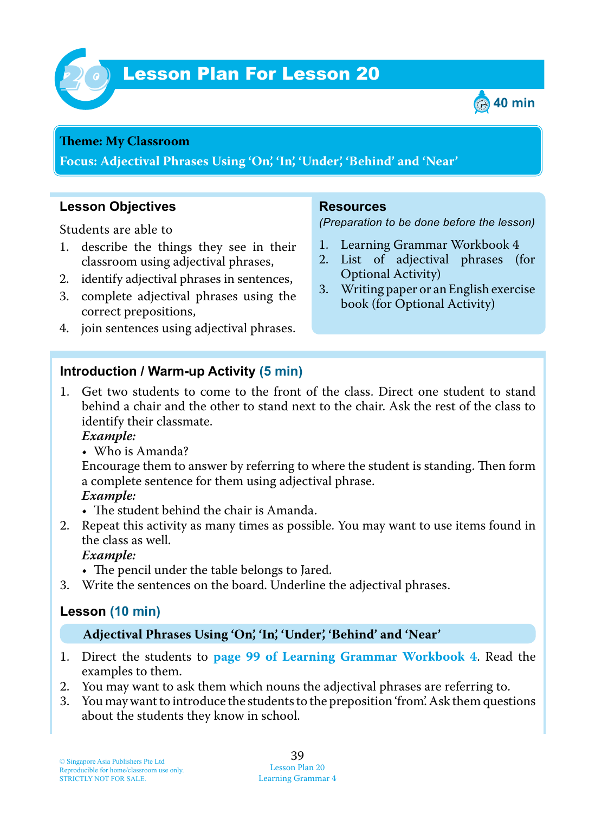

# **Lesson Plan For Lesson 20**



#### **Theme: My Classroom**

**Focus: Adjectival Phrases Using 'On', 'In', 'Under', 'Behind' and 'Near'**

### **Lesson Objectives**

Students are able to

- 1. describe the things they see in their classroom using adjectival phrases,
- 2. identify adjectival phrases in sentences,
- 3. complete adjectival phrases using the correct prepositions,
- 4. join sentences using adjectival phrases.

#### **Resources**

*(Preparation to be done before the lesson)*

- 1. Learning Grammar Workbook 4
- 2. List of adjectival phrases (for Optional Activity)
- 3. Writing paper or an English exercise book (for Optional Activity)

## **Introduction / Warm-up Activity (5 min)**

1. Get two students to come to the front of the class. Direct one student to stand behind a chair and the other to stand next to the chair. Ask the rest of the class to identify their classmate.

 *Example:*

• Who is Amanda?

Encourage them to answer by referring to where the student is standing. Then form a complete sentence for them using adjectival phrase.

#### *Example:*

- The student behind the chair is Amanda.
- 2. Repeat this activity as many times as possible. You may want to use items found in the class as well.

### *Example:*

- The pencil under the table belongs to Jared.
- 3. Write the sentences on the board. Underline the adjectival phrases.

## **Lesson (10 min)**

#### **Adjectival Phrases Using 'On', 'In', 'Under', 'Behind' and 'Near'**

- 1. Direct the students to **page 99 of Learning Grammar Workbook 4**. Read the examples to them.
- 2. You may want to ask them which nouns the adjectival phrases are referring to.
- 3. You may want to introduce the students to the preposition 'from'. Ask them questions about the students they know in school.